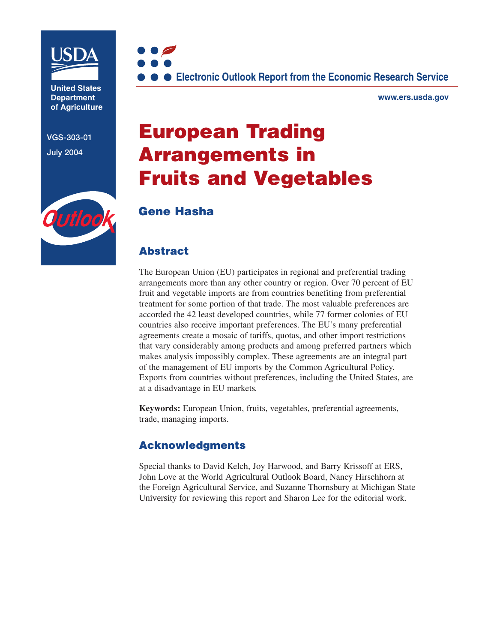

**United States Department of Agriculture**

**VGS-303-01 July 2004**



**www.ers.usda.gov**

# **European Trading Arrangements in Fruits and Vegetables**

# Outloo

# **Gene Hasha**

# **Abstract**

The European Union (EU) participates in regional and preferential trading arrangements more than any other country or region. Over 70 percent of EU fruit and vegetable imports are from countries benefiting from preferential treatment for some portion of that trade. The most valuable preferences are accorded the 42 least developed countries, while 77 former colonies of EU countries also receive important preferences. The EU's many preferential agreements create a mosaic of tariffs, quotas, and other import restrictions that vary considerably among products and among preferred partners which makes analysis impossibly complex. These agreements are an integral part of the management of EU imports by the Common Agricultural Policy. Exports from countries without preferences, including the United States, are at a disadvantage in EU markets*.*

**Keywords:** European Union, fruits, vegetables, preferential agreements, trade, managing imports.

# **Acknowledgments**

Special thanks to David Kelch, Joy Harwood, and Barry Krissoff at ERS, John Love at the World Agricultural Outlook Board, Nancy Hirschhorn at the Foreign Agricultural Service, and Suzanne Thornsbury at Michigan State University for reviewing this report and Sharon Lee for the editorial work.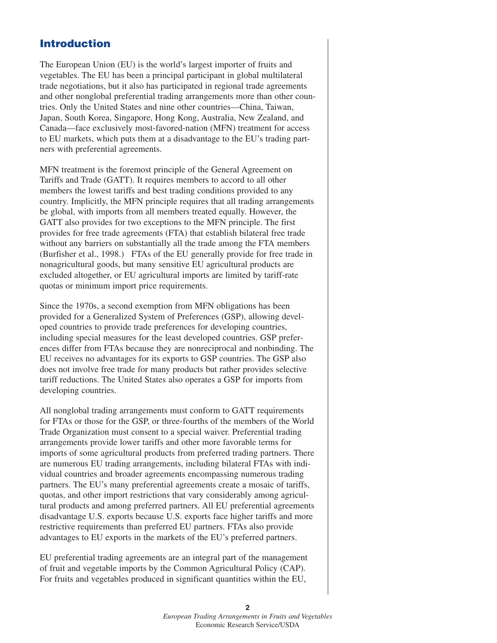# **Introduction**

The European Union (EU) is the world's largest importer of fruits and vegetables. The EU has been a principal participant in global multilateral trade negotiations, but it also has participated in regional trade agreements and other nonglobal preferential trading arrangements more than other countries. Only the United States and nine other countries—China, Taiwan, Japan, South Korea, Singapore, Hong Kong, Australia, New Zealand, and Canada—face exclusively most-favored-nation (MFN) treatment for access to EU markets, which puts them at a disadvantage to the EU's trading partners with preferential agreements.

MFN treatment is the foremost principle of the General Agreement on Tariffs and Trade (GATT). It requires members to accord to all other members the lowest tariffs and best trading conditions provided to any country. Implicitly, the MFN principle requires that all trading arrangements be global, with imports from all members treated equally. However, the GATT also provides for two exceptions to the MFN principle. The first provides for free trade agreements (FTA) that establish bilateral free trade without any barriers on substantially all the trade among the FTA members (Burfisher et al., 1998.) FTAs of the EU generally provide for free trade in nonagricultural goods, but many sensitive EU agricultural products are excluded altogether, or EU agricultural imports are limited by tariff-rate quotas or minimum import price requirements.

Since the 1970s, a second exemption from MFN obligations has been provided for a Generalized System of Preferences (GSP), allowing developed countries to provide trade preferences for developing countries, including special measures for the least developed countries. GSP preferences differ from FTAs because they are nonreciprocal and nonbinding. The EU receives no advantages for its exports to GSP countries. The GSP also does not involve free trade for many products but rather provides selective tariff reductions. The United States also operates a GSP for imports from developing countries.

All nonglobal trading arrangements must conform to GATT requirements for FTAs or those for the GSP, or three-fourths of the members of the World Trade Organization must consent to a special waiver. Preferential trading arrangements provide lower tariffs and other more favorable terms for imports of some agricultural products from preferred trading partners. There are numerous EU trading arrangements, including bilateral FTAs with individual countries and broader agreements encompassing numerous trading partners. The EU's many preferential agreements create a mosaic of tariffs, quotas, and other import restrictions that vary considerably among agricultural products and among preferred partners. All EU preferential agreements disadvantage U.S. exports because U.S. exports face higher tariffs and more restrictive requirements than preferred EU partners. FTAs also provide advantages to EU exports in the markets of the EU's preferred partners.

EU preferential trading agreements are an integral part of the management of fruit and vegetable imports by the Common Agricultural Policy (CAP). For fruits and vegetables produced in significant quantities within the EU,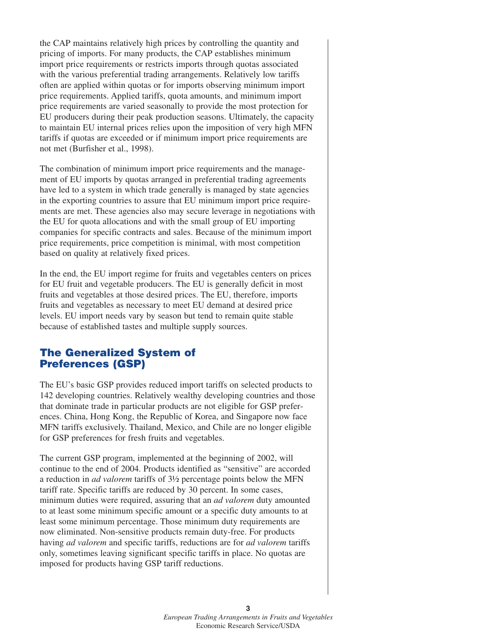the CAP maintains relatively high prices by controlling the quantity and pricing of imports. For many products, the CAP establishes minimum import price requirements or restricts imports through quotas associated with the various preferential trading arrangements. Relatively low tariffs often are applied within quotas or for imports observing minimum import price requirements. Applied tariffs, quota amounts, and minimum import price requirements are varied seasonally to provide the most protection for EU producers during their peak production seasons. Ultimately, the capacity to maintain EU internal prices relies upon the imposition of very high MFN tariffs if quotas are exceeded or if minimum import price requirements are not met (Burfisher et al., 1998).

The combination of minimum import price requirements and the management of EU imports by quotas arranged in preferential trading agreements have led to a system in which trade generally is managed by state agencies in the exporting countries to assure that EU minimum import price requirements are met. These agencies also may secure leverage in negotiations with the EU for quota allocations and with the small group of EU importing companies for specific contracts and sales. Because of the minimum import price requirements, price competition is minimal, with most competition based on quality at relatively fixed prices.

In the end, the EU import regime for fruits and vegetables centers on prices for EU fruit and vegetable producers. The EU is generally deficit in most fruits and vegetables at those desired prices. The EU, therefore, imports fruits and vegetables as necessary to meet EU demand at desired price levels. EU import needs vary by season but tend to remain quite stable because of established tastes and multiple supply sources.

#### **The Generalized System of Preferences (GSP)**

The EU's basic GSP provides reduced import tariffs on selected products to 142 developing countries. Relatively wealthy developing countries and those that dominate trade in particular products are not eligible for GSP preferences. China, Hong Kong, the Republic of Korea, and Singapore now face MFN tariffs exclusively. Thailand, Mexico, and Chile are no longer eligible for GSP preferences for fresh fruits and vegetables.

The current GSP program, implemented at the beginning of 2002, will continue to the end of 2004. Products identified as "sensitive" are accorded a reduction in *ad valorem* tariffs of 3½ percentage points below the MFN tariff rate. Specific tariffs are reduced by 30 percent. In some cases, minimum duties were required, assuring that an *ad valorem* duty amounted to at least some minimum specific amount or a specific duty amounts to at least some minimum percentage. Those minimum duty requirements are now eliminated. Non-sensitive products remain duty-free. For products having *ad valorem* and specific tariffs, reductions are for *ad valorem* tariffs only, sometimes leaving significant specific tariffs in place. No quotas are imposed for products having GSP tariff reductions.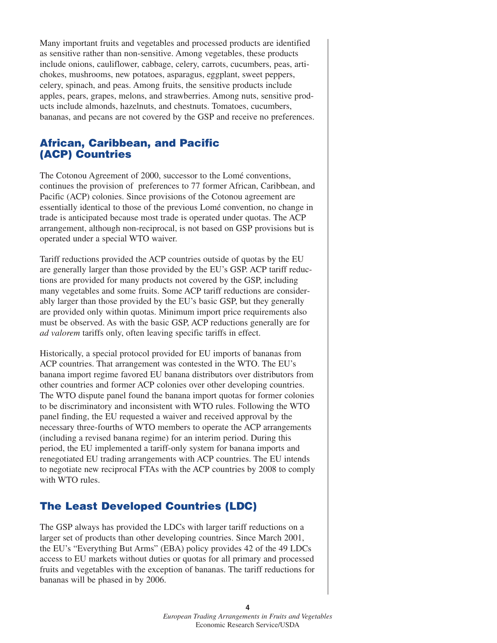Many important fruits and vegetables and processed products are identified as sensitive rather than non-sensitive. Among vegetables, these products include onions, cauliflower, cabbage, celery, carrots, cucumbers, peas, artichokes, mushrooms, new potatoes, asparagus, eggplant, sweet peppers, celery, spinach, and peas. Among fruits, the sensitive products include apples, pears, grapes, melons, and strawberries. Among nuts, sensitive products include almonds, hazelnuts, and chestnuts. Tomatoes, cucumbers, bananas, and pecans are not covered by the GSP and receive no preferences.

## **African, Caribbean, and Pacific (ACP) Countries**

The Cotonou Agreement of 2000, successor to the Lomé conventions, continues the provision of preferences to 77 former African, Caribbean, and Pacific (ACP) colonies. Since provisions of the Cotonou agreement are essentially identical to those of the previous Lomé convention, no change in trade is anticipated because most trade is operated under quotas. The ACP arrangement, although non-reciprocal, is not based on GSP provisions but is operated under a special WTO waiver.

Tariff reductions provided the ACP countries outside of quotas by the EU are generally larger than those provided by the EU's GSP. ACP tariff reductions are provided for many products not covered by the GSP, including many vegetables and some fruits. Some ACP tariff reductions are considerably larger than those provided by the EU's basic GSP, but they generally are provided only within quotas. Minimum import price requirements also must be observed. As with the basic GSP, ACP reductions generally are for *ad valorem* tariffs only, often leaving specific tariffs in effect.

Historically, a special protocol provided for EU imports of bananas from ACP countries. That arrangement was contested in the WTO. The EU's banana import regime favored EU banana distributors over distributors from other countries and former ACP colonies over other developing countries. The WTO dispute panel found the banana import quotas for former colonies to be discriminatory and inconsistent with WTO rules. Following the WTO panel finding, the EU requested a waiver and received approval by the necessary three-fourths of WTO members to operate the ACP arrangements (including a revised banana regime) for an interim period. During this period, the EU implemented a tariff-only system for banana imports and renegotiated EU trading arrangements with ACP countries. The EU intends to negotiate new reciprocal FTAs with the ACP countries by 2008 to comply with WTO rules.

# **The Least Developed Countries (LDC)**

The GSP always has provided the LDCs with larger tariff reductions on a larger set of products than other developing countries. Since March 2001, the EU's "Everything But Arms" (EBA) policy provides 42 of the 49 LDCs access to EU markets without duties or quotas for all primary and processed fruits and vegetables with the exception of bananas. The tariff reductions for bananas will be phased in by 2006.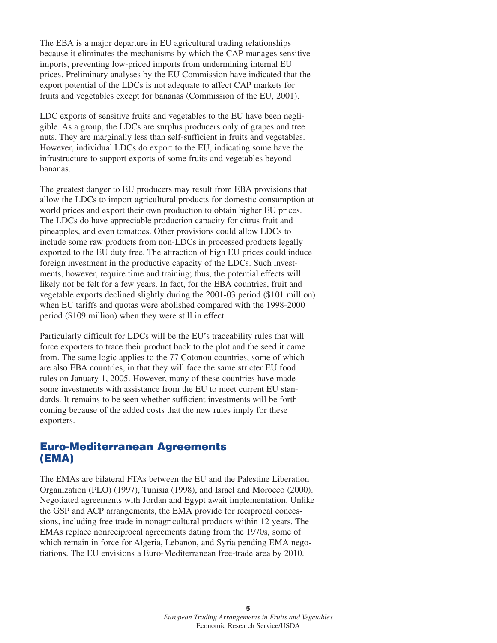The EBA is a major departure in EU agricultural trading relationships because it eliminates the mechanisms by which the CAP manages sensitive imports, preventing low-priced imports from undermining internal EU prices. Preliminary analyses by the EU Commission have indicated that the export potential of the LDCs is not adequate to affect CAP markets for fruits and vegetables except for bananas (Commission of the EU, 2001).

LDC exports of sensitive fruits and vegetables to the EU have been negligible. As a group, the LDCs are surplus producers only of grapes and tree nuts. They are marginally less than self-sufficient in fruits and vegetables. However, individual LDCs do export to the EU, indicating some have the infrastructure to support exports of some fruits and vegetables beyond bananas.

The greatest danger to EU producers may result from EBA provisions that allow the LDCs to import agricultural products for domestic consumption at world prices and export their own production to obtain higher EU prices. The LDCs do have appreciable production capacity for citrus fruit and pineapples, and even tomatoes. Other provisions could allow LDCs to include some raw products from non-LDCs in processed products legally exported to the EU duty free. The attraction of high EU prices could induce foreign investment in the productive capacity of the LDCs. Such investments, however, require time and training; thus, the potential effects will likely not be felt for a few years. In fact, for the EBA countries, fruit and vegetable exports declined slightly during the 2001-03 period (\$101 million) when EU tariffs and quotas were abolished compared with the 1998-2000 period (\$109 million) when they were still in effect.

Particularly difficult for LDCs will be the EU's traceability rules that will force exporters to trace their product back to the plot and the seed it came from. The same logic applies to the 77 Cotonou countries, some of which are also EBA countries, in that they will face the same stricter EU food rules on January 1, 2005. However, many of these countries have made some investments with assistance from the EU to meet current EU standards. It remains to be seen whether sufficient investments will be forthcoming because of the added costs that the new rules imply for these exporters.

#### **Euro-Mediterranean Agreements (EMA)**

The EMAs are bilateral FTAs between the EU and the Palestine Liberation Organization (PLO) (1997), Tunisia (1998), and Israel and Morocco (2000). Negotiated agreements with Jordan and Egypt await implementation. Unlike the GSP and ACP arrangements, the EMA provide for reciprocal concessions, including free trade in nonagricultural products within 12 years. The EMAs replace nonreciprocal agreements dating from the 1970s, some of which remain in force for Algeria, Lebanon, and Syria pending EMA negotiations. The EU envisions a Euro-Mediterranean free-trade area by 2010.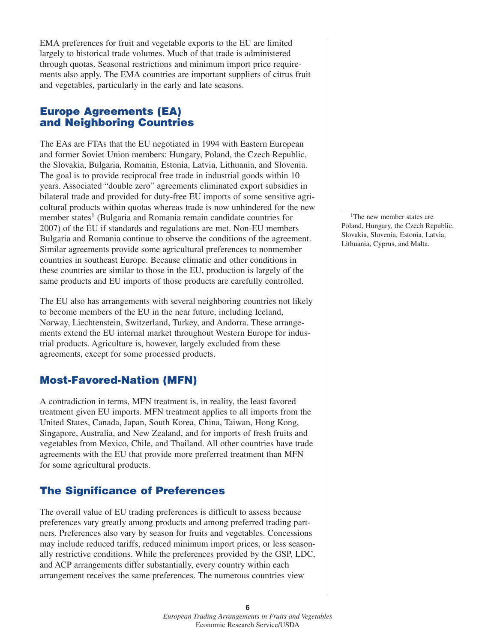EMA preferences for fruit and vegetable exports to the EU are limited largely to historical trade volumes. Much of that trade is administered through quotas. Seasonal restrictions and minimum import price requirements also apply. The EMA countries are important suppliers of citrus fruit and vegetables, particularly in the early and late seasons.

## **Europe Agreements (EA) and Neighboring Countries**

The EAs are FTAs that the EU negotiated in 1994 with Eastern European and former Soviet Union members: Hungary, Poland, the Czech Republic, the Slovakia, Bulgaria, Romania, Estonia, Latvia, Lithuania, and Slovenia. The goal is to provide reciprocal free trade in industrial goods within 10 years. Associated "double zero" agreements eliminated export subsidies in bilateral trade and provided for duty-free EU imports of some sensitive agricultural products within quotas whereas trade is now unhindered for the new member states<sup>1</sup> (Bulgaria and Romania remain candidate countries for 2007) of the EU if standards and regulations are met. Non-EU members Bulgaria and Romania continue to observe the conditions of the agreement. Similar agreements provide some agricultural preferences to nonmember countries in southeast Europe. Because climatic and other conditions in these countries are similar to those in the EU, production is largely of the same products and EU imports of those products are carefully controlled.

The EU also has arrangements with several neighboring countries not likely to become members of the EU in the near future, including Iceland, Norway, Liechtenstein, Switzerland, Turkey, and Andorra. These arrangements extend the EU internal market throughout Western Europe for industrial products. Agriculture is, however, largely excluded from these agreements, except for some processed products.

# **Most-Favored-Nation (MFN)**

A contradiction in terms, MFN treatment is, in reality, the least favored treatment given EU imports. MFN treatment applies to all imports from the United States, Canada, Japan, South Korea, China, Taiwan, Hong Kong, Singapore, Australia, and New Zealand, and for imports of fresh fruits and vegetables from Mexico, Chile, and Thailand. All other countries have trade agreements with the EU that provide more preferred treatment than MFN for some agricultural products.

# **The Significance of Preferences**

The overall value of EU trading preferences is difficult to assess because preferences vary greatly among products and among preferred trading partners. Preferences also vary by season for fruits and vegetables. Concessions may include reduced tariffs, reduced minimum import prices, or less seasonally restrictive conditions. While the preferences provided by the GSP, LDC, and ACP arrangements differ substantially, every country within each arrangement receives the same preferences. The numerous countries view

<sup>1</sup>The new member states are Poland, Hungary, the Czech Republic, Slovakia, Slovenia, Estonia, Latvia, Lithuania, Cyprus, and Malta.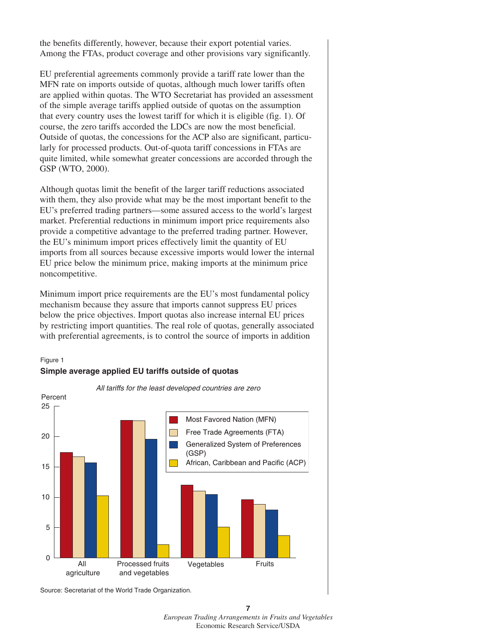the benefits differently, however, because their export potential varies. Among the FTAs, product coverage and other provisions vary significantly.

EU preferential agreements commonly provide a tariff rate lower than the MFN rate on imports outside of quotas, although much lower tariffs often are applied within quotas. The WTO Secretariat has provided an assessment of the simple average tariffs applied outside of quotas on the assumption that every country uses the lowest tariff for which it is eligible (fig. 1). Of course, the zero tariffs accorded the LDCs are now the most beneficial. Outside of quotas, the concessions for the ACP also are significant, particularly for processed products. Out-of-quota tariff concessions in FTAs are quite limited, while somewhat greater concessions are accorded through the GSP (WTO, 2000).

Although quotas limit the benefit of the larger tariff reductions associated with them, they also provide what may be the most important benefit to the EU's preferred trading partners—some assured access to the world's largest market. Preferential reductions in minimum import price requirements also provide a competitive advantage to the preferred trading partner. However, the EU's minimum import prices effectively limit the quantity of EU imports from all sources because excessive imports would lower the internal EU price below the minimum price, making imports at the minimum price noncompetitive.

Minimum import price requirements are the EU's most fundamental policy mechanism because they assure that imports cannot suppress EU prices below the price objectives. Import quotas also increase internal EU prices by restricting import quantities. The real role of quotas, generally associated with preferential agreements, is to control the source of imports in addition



#### Figure 1 **Simple average applied EU tariffs outside of quotas**

Source: Secretariat of the World Trade Organization.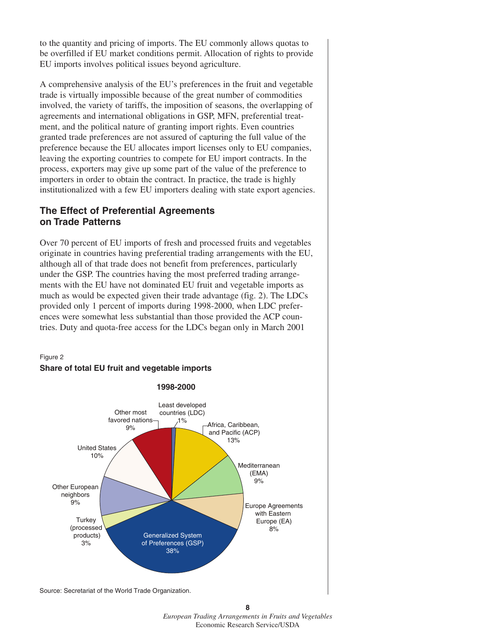to the quantity and pricing of imports. The EU commonly allows quotas to be overfilled if EU market conditions permit. Allocation of rights to provide EU imports involves political issues beyond agriculture.

A comprehensive analysis of the EU's preferences in the fruit and vegetable trade is virtually impossible because of the great number of commodities involved, the variety of tariffs, the imposition of seasons, the overlapping of agreements and international obligations in GSP, MFN, preferential treatment, and the political nature of granting import rights. Even countries granted trade preferences are not assured of capturing the full value of the preference because the EU allocates import licenses only to EU companies, leaving the exporting countries to compete for EU import contracts. In the process, exporters may give up some part of the value of the preference to importers in order to obtain the contract. In practice, the trade is highly institutionalized with a few EU importers dealing with state export agencies.

#### **The Effect of Preferential Agreements on Trade Patterns**

Over 70 percent of EU imports of fresh and processed fruits and vegetables originate in countries having preferential trading arrangements with the EU, although all of that trade does not benefit from preferences, particularly under the GSP. The countries having the most preferred trading arrangements with the EU have not dominated EU fruit and vegetable imports as much as would be expected given their trade advantage (fig. 2). The LDCs provided only 1 percent of imports during 1998-2000, when LDC preferences were somewhat less substantial than those provided the ACP countries. Duty and quota-free access for the LDCs began only in March 2001





#### **8** *European Trading Arrangements in Fruits and Vegetables* Economic Research Service/USDA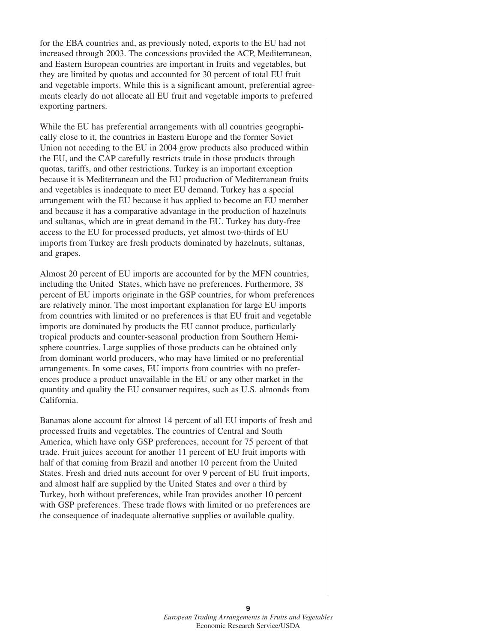for the EBA countries and, as previously noted, exports to the EU had not increased through 2003. The concessions provided the ACP, Mediterranean, and Eastern European countries are important in fruits and vegetables, but they are limited by quotas and accounted for 30 percent of total EU fruit and vegetable imports. While this is a significant amount, preferential agreements clearly do not allocate all EU fruit and vegetable imports to preferred exporting partners.

While the EU has preferential arrangements with all countries geographically close to it, the countries in Eastern Europe and the former Soviet Union not acceding to the EU in 2004 grow products also produced within the EU, and the CAP carefully restricts trade in those products through quotas, tariffs, and other restrictions. Turkey is an important exception because it is Mediterranean and the EU production of Mediterranean fruits and vegetables is inadequate to meet EU demand. Turkey has a special arrangement with the EU because it has applied to become an EU member and because it has a comparative advantage in the production of hazelnuts and sultanas, which are in great demand in the EU. Turkey has duty-free access to the EU for processed products, yet almost two-thirds of EU imports from Turkey are fresh products dominated by hazelnuts, sultanas, and grapes.

Almost 20 percent of EU imports are accounted for by the MFN countries, including the United States, which have no preferences. Furthermore, 38 percent of EU imports originate in the GSP countries, for whom preferences are relatively minor. The most important explanation for large EU imports from countries with limited or no preferences is that EU fruit and vegetable imports are dominated by products the EU cannot produce, particularly tropical products and counter-seasonal production from Southern Hemisphere countries. Large supplies of those products can be obtained only from dominant world producers, who may have limited or no preferential arrangements. In some cases, EU imports from countries with no preferences produce a product unavailable in the EU or any other market in the quantity and quality the EU consumer requires, such as U.S. almonds from California.

Bananas alone account for almost 14 percent of all EU imports of fresh and processed fruits and vegetables. The countries of Central and South America, which have only GSP preferences, account for 75 percent of that trade. Fruit juices account for another 11 percent of EU fruit imports with half of that coming from Brazil and another 10 percent from the United States. Fresh and dried nuts account for over 9 percent of EU fruit imports, and almost half are supplied by the United States and over a third by Turkey, both without preferences, while Iran provides another 10 percent with GSP preferences. These trade flows with limited or no preferences are the consequence of inadequate alternative supplies or available quality.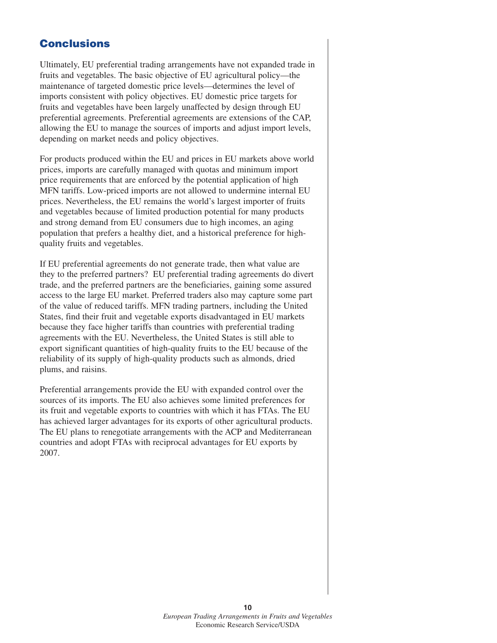# **Conclusions**

Ultimately, EU preferential trading arrangements have not expanded trade in fruits and vegetables. The basic objective of EU agricultural policy—the maintenance of targeted domestic price levels—determines the level of imports consistent with policy objectives. EU domestic price targets for fruits and vegetables have been largely unaffected by design through EU preferential agreements. Preferential agreements are extensions of the CAP, allowing the EU to manage the sources of imports and adjust import levels, depending on market needs and policy objectives.

For products produced within the EU and prices in EU markets above world prices, imports are carefully managed with quotas and minimum import price requirements that are enforced by the potential application of high MFN tariffs. Low-priced imports are not allowed to undermine internal EU prices. Nevertheless, the EU remains the world's largest importer of fruits and vegetables because of limited production potential for many products and strong demand from EU consumers due to high incomes, an aging population that prefers a healthy diet, and a historical preference for highquality fruits and vegetables.

If EU preferential agreements do not generate trade, then what value are they to the preferred partners? EU preferential trading agreements do divert trade, and the preferred partners are the beneficiaries, gaining some assured access to the large EU market. Preferred traders also may capture some part of the value of reduced tariffs. MFN trading partners, including the United States, find their fruit and vegetable exports disadvantaged in EU markets because they face higher tariffs than countries with preferential trading agreements with the EU. Nevertheless, the United States is still able to export significant quantities of high-quality fruits to the EU because of the reliability of its supply of high-quality products such as almonds, dried plums, and raisins.

Preferential arrangements provide the EU with expanded control over the sources of its imports. The EU also achieves some limited preferences for its fruit and vegetable exports to countries with which it has FTAs. The EU has achieved larger advantages for its exports of other agricultural products. The EU plans to renegotiate arrangements with the ACP and Mediterranean countries and adopt FTAs with reciprocal advantages for EU exports by 2007.